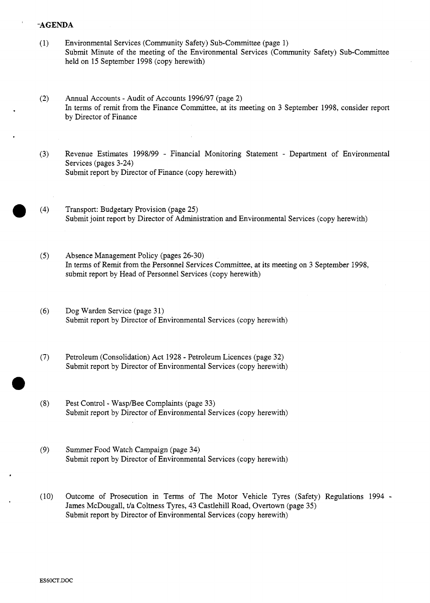## ' **-AGENDA**

- (1) Environmental Services (Community Safety) Sub-Committee (page 1) [Submit Minute of the meeting of the Environmental Services \(Community Safety\) Sub-Committee](HTTP://mars.northlan.gov.uk/xpedio/groups/public/documents/report/044304.pdf)  held on 15 September 1998 (copy herewith)
- (2) Annual Accounts Audit of Accounts 1996/97 (page *2)*  [In terms of remit from the Finance Committee, at its meeting on 3 September 1998, consider report](HTTP://mars.northlan.gov.uk/xpedio/groups/public/documents/report/044309.pdf)  by Director of Finance
- (3) Revenue Estimates 1998/99 Financial Monitoring Statement Department of Environmental Services (pages 3-24) [Submit report by Director of Finance \(copy herewith\)](HTTP://mars.northlan.gov.uk/xpedio/groups/public/documents/report/044306.pdf)
- (4) Transport: Budgetary Provision (page 25) [Submit joint report by Director of Administration and Environmental Services \(copy herewith\)](HTTP://mars.northlan.gov.uk/xpedio/groups/public/documents/report/044307.pdf)
- *(5)* Absence Management Policy (pages 26-30) [In terms of Remit from the Personnel Services Committee, at its meeting on 3 September 1998,](HTTP://mars.northlan.gov.uk/xpedio/groups/public/documents/report/044308.pdf)  submit report by Head of Personnel Services (copy herewith)
- *(6)* Dog Warden Service (page 31) [Submit report by Director of Environmental Services \(copy herewith\)](HTTP://mars.northlan.gov.uk/xpedio/groups/public/documents/report/044310.pdf)
- **(7)** Petroleum (Consolidation) Act 1928 Petroleum Licences (page 32) [Submit report by Director of Environmental Services \(copy herewith\)](HTTP://mars.northlan.gov.uk/xpedio/groups/public/documents/report/044311.pdf)
- (8) Pest Control WaspfBee Complaints (page 33) [Submit report by Director of Environmental Services \(copy herewith\)](HTTP://mars.northlan.gov.uk/xpedio/groups/public/documents/report/044312.pdf)
- (9) Summer Food Watch Campaign (page 34) [Submit report by Director of Environmental Services \(copy herewith\)](HTTP://mars.northlan.gov.uk/xpedio/groups/public/documents/report/044313.pdf)
- (10) [Outcome of Prosecution in Terms of The Motor Vehicle Tyres \(Safety\) Regulations 1994](HTTP://mars.northlan.gov.uk/xpedio/groups/public/documents/report/044314.pdf)  James McDougall, t/a Coltness Tyres, 43 Castlehill Road, Overtown (page 35) Submit report by Director of Environmental Services (copy herewith)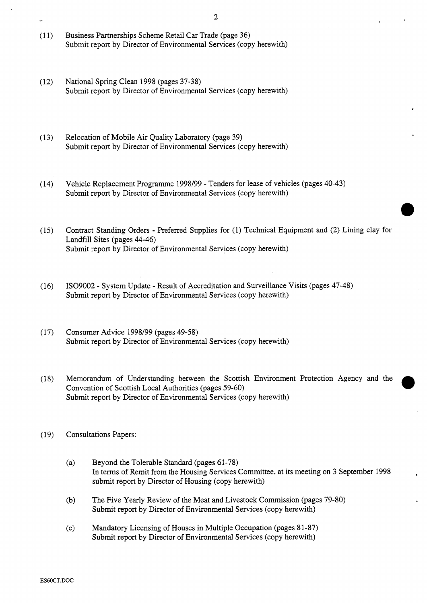- (11) Business Partnerships Scheme Retail Car Trade (page 36) [Submit report by Director of Environmental Services \(copy herewith\)](HTTP://mars.northlan.gov.uk/xpedio/groups/public/documents/report/044316.pdf)
- (12) National Spring Clean 1998 (pages 37-38) [Submit report by Director of Environmental Services \(copy herewith\)](HTTP://mars.northlan.gov.uk/xpedio/groups/public/documents/report/044317.pdf)
- (13) Relocation of Mobile Air Quality Laboratory (page 39) [Submit report by Director of Environmental Services \(copy herewith\)](HTTP://mars.northlan.gov.uk/xpedio/groups/public/documents/report/044318.pdf)
- (14) Vehicle Replacement Programme 1998/99 Tenders for lease of vehicles (pages 40-43) [Submit report by Director of Environmental Services \(copy herewith\)](HTTP://mars.northlan.gov.uk/xpedio/groups/public/documents/report/044321.pdf)
- (15) Contract Standing Orders Preferred Supplies for (1) Technical Equipment and **(2)** Lining clay for Landfill Sites (pages 44-46) [Submit report by Director of Environmental Services \(copy herewith\)](HTTP://mars.northlan.gov.uk/xpedio/groups/public/documents/report/044323.pdf)
- (16) IS09002 System Update Result of Accreditation and Surveillance Visits (pages 47-48) [Submit report by Director of Environmental Services \(copy herewith\)](HTTP://mars.northlan.gov.uk/xpedio/groups/public/documents/report/044329.pdf)
- (17) Consumer Advice 1998/99 (pages 49-58) [Submit report by Director of Environmental Services \(copy herewith\)](HTTP://mars.northlan.gov.uk/xpedio/groups/public/documents/report/044330.pdf)
- (18) Memorandum of Understanding between the Scottish Environment Protection Agency and the Convention of Scottish Local Authorities (pages 59-60) Submit report by Director of Environmental Services (copy herewith)
- (19) Consultations Papers:
	- (a) Beyond the Tolerable Standard (pages 61-78) [In terms of Remit from the Housing Services Committee, at its meeting on 3 September 1998](HTTP://mars.northlan.gov.uk/xpedio/groups/public/documents/report/044335.pdf)  submit report by Director of Housing (copy herewith)
	- (b) [The Five Yearly Review of the Meat and Livestock Commission \(pages 79-80\)](HTTP://mars.northlan.gov.uk/xpedio/groups/public/documents/report/044337.pdf)  Submit report by Director of Environmental Services (copy herewith)
	- (c) [Mandatory Licensing of Houses in Multiple Occupation \(pages 81-87\)](HTTP://mars.northlan.gov.uk/xpedio/groups/public/documents/report/044338.pdf)  Submit report by Director of Environmental Services (copy herewith)

**2** -